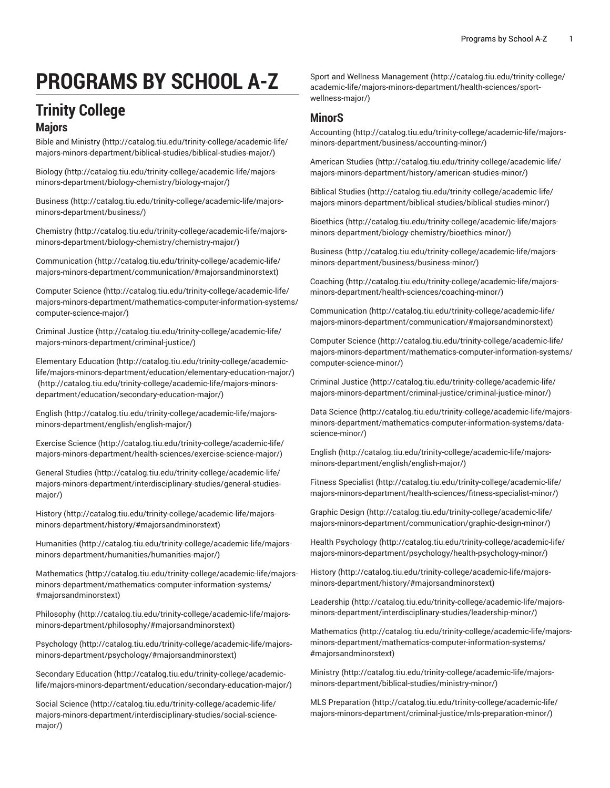# **PROGRAMS BY SCHOOL A-Z**

### **Trinity College**

#### **Majors**

Bible and [Ministry \(http://catalog.tiu.edu/trinity-college/academic-life/](http://catalog.tiu.edu/trinity-college/academic-life/majors-minors-department/biblical-studies/biblical-studies-major/) [majors-minors-department/biblical-studies/biblical-studies-major/\)](http://catalog.tiu.edu/trinity-college/academic-life/majors-minors-department/biblical-studies/biblical-studies-major/)

[Biology \(http://catalog.tiu.edu/trinity-college/academic-life/majors](http://catalog.tiu.edu/trinity-college/academic-life/majors-minors-department/biology-chemistry/biology-major/)[minors-department/biology-chemistry/biology-major/](http://catalog.tiu.edu/trinity-college/academic-life/majors-minors-department/biology-chemistry/biology-major/))

[Business](http://catalog.tiu.edu/trinity-college/academic-life/majors-minors-department/business/) ([http://catalog.tiu.edu/trinity-college/academic-life/majors](http://catalog.tiu.edu/trinity-college/academic-life/majors-minors-department/business/)[minors-department/business/](http://catalog.tiu.edu/trinity-college/academic-life/majors-minors-department/business/))

[Chemistry \(http://catalog.tiu.edu/trinity-college/academic-life/majors](http://catalog.tiu.edu/trinity-college/academic-life/majors-minors-department/biology-chemistry/chemistry-major/)[minors-department/biology-chemistry/chemistry-major/\)](http://catalog.tiu.edu/trinity-college/academic-life/majors-minors-department/biology-chemistry/chemistry-major/)

[Communication](http://catalog.tiu.edu/trinity-college/academic-life/majors-minors-department/communication/#majorsandminorstext) ([http://catalog.tiu.edu/trinity-college/academic-life/](http://catalog.tiu.edu/trinity-college/academic-life/majors-minors-department/communication/#majorsandminorstext) [majors-minors-department/communication/#majorsandminorstext](http://catalog.tiu.edu/trinity-college/academic-life/majors-minors-department/communication/#majorsandminorstext))

[Computer Science \(http://catalog.tiu.edu/trinity-college/academic-life/](http://catalog.tiu.edu/trinity-college/academic-life/majors-minors-department/mathematics-computer-information-systems/computer-science-major/) [majors-minors-department/mathematics-computer-information-systems/](http://catalog.tiu.edu/trinity-college/academic-life/majors-minors-department/mathematics-computer-information-systems/computer-science-major/) [computer-science-major/\)](http://catalog.tiu.edu/trinity-college/academic-life/majors-minors-department/mathematics-computer-information-systems/computer-science-major/)

[Criminal Justice](http://catalog.tiu.edu/trinity-college/academic-life/majors-minors-department/criminal-justice/) ([http://catalog.tiu.edu/trinity-college/academic-life/](http://catalog.tiu.edu/trinity-college/academic-life/majors-minors-department/criminal-justice/) [majors-minors-department/criminal-justice/\)](http://catalog.tiu.edu/trinity-college/academic-life/majors-minors-department/criminal-justice/)

[Elementary](http://catalog.tiu.edu/trinity-college/academic-life/majors-minors-department/education/elementary-education-major/) Education [\(http://catalog.tiu.edu/trinity-college/academic](http://catalog.tiu.edu/trinity-college/academic-life/majors-minors-department/education/elementary-education-major/)[life/majors-minors-department/education/elementary-education-major/](http://catalog.tiu.edu/trinity-college/academic-life/majors-minors-department/education/elementary-education-major/)) ([http://catalog.tiu.edu/trinity-college/academic-life/majors-minors](http://catalog.tiu.edu/trinity-college/academic-life/majors-minors-department/education/secondary-education-major/)[department/education/secondary-education-major/\)](http://catalog.tiu.edu/trinity-college/academic-life/majors-minors-department/education/secondary-education-major/)

[English](http://catalog.tiu.edu/trinity-college/academic-life/majors-minors-department/english/english-major/) [\(http://catalog.tiu.edu/trinity-college/academic-life/majors](http://catalog.tiu.edu/trinity-college/academic-life/majors-minors-department/english/english-major/)[minors-department/english/english-major/\)](http://catalog.tiu.edu/trinity-college/academic-life/majors-minors-department/english/english-major/)

[Exercise](http://catalog.tiu.edu/trinity-college/academic-life/majors-minors-department/health-sciences/exercise-science-major/) Science [\(http://catalog.tiu.edu/trinity-college/academic-life/](http://catalog.tiu.edu/trinity-college/academic-life/majors-minors-department/health-sciences/exercise-science-major/) [majors-minors-department/health-sciences/exercise-science-major/\)](http://catalog.tiu.edu/trinity-college/academic-life/majors-minors-department/health-sciences/exercise-science-major/)

[General Studies \(http://catalog.tiu.edu/trinity-college/academic-life/](http://catalog.tiu.edu/trinity-college/academic-life/majors-minors-department/interdisciplinary-studies/general-studies-major/) [majors-minors-department/interdisciplinary-studies/general-studies](http://catalog.tiu.edu/trinity-college/academic-life/majors-minors-department/interdisciplinary-studies/general-studies-major/)[major/](http://catalog.tiu.edu/trinity-college/academic-life/majors-minors-department/interdisciplinary-studies/general-studies-major/))

[History](http://catalog.tiu.edu/trinity-college/academic-life/majors-minors-department/history/#majorsandminorstext) ([http://catalog.tiu.edu/trinity-college/academic-life/majors](http://catalog.tiu.edu/trinity-college/academic-life/majors-minors-department/history/#majorsandminorstext)[minors-department/history/#majorsandminorstext\)](http://catalog.tiu.edu/trinity-college/academic-life/majors-minors-department/history/#majorsandminorstext)

[Humanities](http://catalog.tiu.edu/trinity-college/academic-life/majors-minors-department/humanities/humanities-major/) ([http://catalog.tiu.edu/trinity-college/academic-life/majors](http://catalog.tiu.edu/trinity-college/academic-life/majors-minors-department/humanities/humanities-major/)[minors-department/humanities/humanities-major/](http://catalog.tiu.edu/trinity-college/academic-life/majors-minors-department/humanities/humanities-major/))

[Mathematics \(http://catalog.tiu.edu/trinity-college/academic-life/majors](http://catalog.tiu.edu/trinity-college/academic-life/majors-minors-department/mathematics-computer-information-systems/#majorsandminorstext)[minors-department/mathematics-computer-information-systems/](http://catalog.tiu.edu/trinity-college/academic-life/majors-minors-department/mathematics-computer-information-systems/#majorsandminorstext) [#majorsandminorstext](http://catalog.tiu.edu/trinity-college/academic-life/majors-minors-department/mathematics-computer-information-systems/#majorsandminorstext))

[Philosophy](http://catalog.tiu.edu/trinity-college/academic-life/majors-minors-department/philosophy/#majorsandminorstext) ([http://catalog.tiu.edu/trinity-college/academic-life/majors](http://catalog.tiu.edu/trinity-college/academic-life/majors-minors-department/philosophy/#majorsandminorstext)[minors-department/philosophy/#majorsandminorstext](http://catalog.tiu.edu/trinity-college/academic-life/majors-minors-department/philosophy/#majorsandminorstext))

[Psychology \(http://catalog.tiu.edu/trinity-college/academic-life/majors](http://catalog.tiu.edu/trinity-college/academic-life/majors-minors-department/psychology/#majorsandminorstext)[minors-department/psychology/#majorsandminorstext\)](http://catalog.tiu.edu/trinity-college/academic-life/majors-minors-department/psychology/#majorsandminorstext)

[Secondary](http://catalog.tiu.edu/trinity-college/academic-life/majors-minors-department/education/secondary-education-major/) Education [\(http://catalog.tiu.edu/trinity-college/academic](http://catalog.tiu.edu/trinity-college/academic-life/majors-minors-department/education/secondary-education-major/)[life/majors-minors-department/education/secondary-education-major/](http://catalog.tiu.edu/trinity-college/academic-life/majors-minors-department/education/secondary-education-major/))

[Social Science \(http://catalog.tiu.edu/trinity-college/academic-life/](http://catalog.tiu.edu/trinity-college/academic-life/majors-minors-department/interdisciplinary-studies/social-science-major/) [majors-minors-department/interdisciplinary-studies/social-science](http://catalog.tiu.edu/trinity-college/academic-life/majors-minors-department/interdisciplinary-studies/social-science-major/)[major/](http://catalog.tiu.edu/trinity-college/academic-life/majors-minors-department/interdisciplinary-studies/social-science-major/))

Sport and Wellness [Management](http://catalog.tiu.edu/trinity-college/academic-life/majors-minors-department/health-sciences/sport-wellness-major/) [\(http://catalog.tiu.edu/trinity-college/](http://catalog.tiu.edu/trinity-college/academic-life/majors-minors-department/health-sciences/sport-wellness-major/) [academic-life/majors-minors-department/health-sciences/sport](http://catalog.tiu.edu/trinity-college/academic-life/majors-minors-department/health-sciences/sport-wellness-major/)[wellness-major/](http://catalog.tiu.edu/trinity-college/academic-life/majors-minors-department/health-sciences/sport-wellness-major/))

### **MinorS**

[Accounting \(http://catalog.tiu.edu/trinity-college/academic-life/majors](http://catalog.tiu.edu/trinity-college/academic-life/majors-minors-department/business/accounting-minor/)[minors-department/business/accounting-minor/](http://catalog.tiu.edu/trinity-college/academic-life/majors-minors-department/business/accounting-minor/))

[American Studies](http://catalog.tiu.edu/trinity-college/academic-life/majors-minors-department/history/american-studies-minor/) ([http://catalog.tiu.edu/trinity-college/academic-life/](http://catalog.tiu.edu/trinity-college/academic-life/majors-minors-department/history/american-studies-minor/) [majors-minors-department/history/american-studies-minor/](http://catalog.tiu.edu/trinity-college/academic-life/majors-minors-department/history/american-studies-minor/))

[Biblical Studies](http://catalog.tiu.edu/trinity-college/academic-life/majors-minors-department/biblical-studies/biblical-studies-minor/) ([http://catalog.tiu.edu/trinity-college/academic-life/](http://catalog.tiu.edu/trinity-college/academic-life/majors-minors-department/biblical-studies/biblical-studies-minor/) [majors-minors-department/biblical-studies/biblical-studies-minor/](http://catalog.tiu.edu/trinity-college/academic-life/majors-minors-department/biblical-studies/biblical-studies-minor/))

[Bioethics](http://catalog.tiu.edu/trinity-college/academic-life/majors-minors-department/biology-chemistry/bioethics-minor/) ([http://catalog.tiu.edu/trinity-college/academic-life/majors](http://catalog.tiu.edu/trinity-college/academic-life/majors-minors-department/biology-chemistry/bioethics-minor/)[minors-department/biology-chemistry/bioethics-minor/\)](http://catalog.tiu.edu/trinity-college/academic-life/majors-minors-department/biology-chemistry/bioethics-minor/)

[Business](http://catalog.tiu.edu/trinity-college/academic-life/majors-minors-department/business/business-minor/) ([http://catalog.tiu.edu/trinity-college/academic-life/majors](http://catalog.tiu.edu/trinity-college/academic-life/majors-minors-department/business/business-minor/)[minors-department/business/business-minor/](http://catalog.tiu.edu/trinity-college/academic-life/majors-minors-department/business/business-minor/))

[Coaching](http://catalog.tiu.edu/trinity-college/academic-life/majors-minors-department/health-sciences/coaching-minor/) ([http://catalog.tiu.edu/trinity-college/academic-life/majors](http://catalog.tiu.edu/trinity-college/academic-life/majors-minors-department/health-sciences/coaching-minor/)[minors-department/health-sciences/coaching-minor/\)](http://catalog.tiu.edu/trinity-college/academic-life/majors-minors-department/health-sciences/coaching-minor/)

[Communication \(http://catalog.tiu.edu/trinity-college/academic-life/](http://catalog.tiu.edu/trinity-college/academic-life/majors-minors-department/communication/#majorsandminorstext) [majors-minors-department/communication/#majorsandminorstext\)](http://catalog.tiu.edu/trinity-college/academic-life/majors-minors-department/communication/#majorsandminorstext)

[Computer Science](http://catalog.tiu.edu/trinity-college/academic-life/majors-minors-department/mathematics-computer-information-systems/computer-science-minor/) ([http://catalog.tiu.edu/trinity-college/academic-life/](http://catalog.tiu.edu/trinity-college/academic-life/majors-minors-department/mathematics-computer-information-systems/computer-science-minor/) [majors-minors-department/mathematics-computer-information-systems/](http://catalog.tiu.edu/trinity-college/academic-life/majors-minors-department/mathematics-computer-information-systems/computer-science-minor/) [computer-science-minor/](http://catalog.tiu.edu/trinity-college/academic-life/majors-minors-department/mathematics-computer-information-systems/computer-science-minor/))

[Criminal Justice](http://catalog.tiu.edu/trinity-college/academic-life/majors-minors-department/criminal-justice/criminal-justice-minor/) [\(http://catalog.tiu.edu/trinity-college/academic-life/](http://catalog.tiu.edu/trinity-college/academic-life/majors-minors-department/criminal-justice/criminal-justice-minor/) [majors-minors-department/criminal-justice/criminal-justice-minor/\)](http://catalog.tiu.edu/trinity-college/academic-life/majors-minors-department/criminal-justice/criminal-justice-minor/)

[Data Science \(http://catalog.tiu.edu/trinity-college/academic-life/majors](http://catalog.tiu.edu/trinity-college/academic-life/majors-minors-department/mathematics-computer-information-systems/data-science-minor/)[minors-department/mathematics-computer-information-systems/data](http://catalog.tiu.edu/trinity-college/academic-life/majors-minors-department/mathematics-computer-information-systems/data-science-minor/)[science-minor/](http://catalog.tiu.edu/trinity-college/academic-life/majors-minors-department/mathematics-computer-information-systems/data-science-minor/))

[English](http://catalog.tiu.edu/trinity-college/academic-life/majors-minors-department/english/english-major/) ([http://catalog.tiu.edu/trinity-college/academic-life/majors](http://catalog.tiu.edu/trinity-college/academic-life/majors-minors-department/english/english-major/)[minors-department/english/english-major/](http://catalog.tiu.edu/trinity-college/academic-life/majors-minors-department/english/english-major/))

[Fitness Specialist](http://catalog.tiu.edu/trinity-college/academic-life/majors-minors-department/health-sciences/fitness-specialist-minor/) ([http://catalog.tiu.edu/trinity-college/academic-life/](http://catalog.tiu.edu/trinity-college/academic-life/majors-minors-department/health-sciences/fitness-specialist-minor/) [majors-minors-department/health-sciences/fitness-specialist-minor/\)](http://catalog.tiu.edu/trinity-college/academic-life/majors-minors-department/health-sciences/fitness-specialist-minor/)

[Graphic Design](http://catalog.tiu.edu/trinity-college/academic-life/majors-minors-department/communication/graphic-design-minor/) ([http://catalog.tiu.edu/trinity-college/academic-life/](http://catalog.tiu.edu/trinity-college/academic-life/majors-minors-department/communication/graphic-design-minor/) [majors-minors-department/communication/graphic-design-minor/](http://catalog.tiu.edu/trinity-college/academic-life/majors-minors-department/communication/graphic-design-minor/))

Health [Psychology \(http://catalog.tiu.edu/trinity-college/academic-life/](http://catalog.tiu.edu/trinity-college/academic-life/majors-minors-department/psychology/health-psychology-minor/) [majors-minors-department/psychology/health-psychology-minor/](http://catalog.tiu.edu/trinity-college/academic-life/majors-minors-department/psychology/health-psychology-minor/))

[History](http://catalog.tiu.edu/trinity-college/academic-life/majors-minors-department/history/#majorsandminorstext) [\(http://catalog.tiu.edu/trinity-college/academic-life/majors](http://catalog.tiu.edu/trinity-college/academic-life/majors-minors-department/history/#majorsandminorstext)[minors-department/history/#majorsandminorstext\)](http://catalog.tiu.edu/trinity-college/academic-life/majors-minors-department/history/#majorsandminorstext)

[Leadership](http://catalog.tiu.edu/trinity-college/academic-life/majors-minors-department/interdisciplinary-studies/leadership-minor/) ([http://catalog.tiu.edu/trinity-college/academic-life/majors](http://catalog.tiu.edu/trinity-college/academic-life/majors-minors-department/interdisciplinary-studies/leadership-minor/)[minors-department/interdisciplinary-studies/leadership-minor/\)](http://catalog.tiu.edu/trinity-college/academic-life/majors-minors-department/interdisciplinary-studies/leadership-minor/)

[Mathematics](http://catalog.tiu.edu/trinity-college/academic-life/majors-minors-department/mathematics-computer-information-systems/#majorsandminorstext) ([http://catalog.tiu.edu/trinity-college/academic-life/majors](http://catalog.tiu.edu/trinity-college/academic-life/majors-minors-department/mathematics-computer-information-systems/#majorsandminorstext)[minors-department/mathematics-computer-information-systems/](http://catalog.tiu.edu/trinity-college/academic-life/majors-minors-department/mathematics-computer-information-systems/#majorsandminorstext) [#majorsandminorstext\)](http://catalog.tiu.edu/trinity-college/academic-life/majors-minors-department/mathematics-computer-information-systems/#majorsandminorstext)

[Ministry \(http://catalog.tiu.edu/trinity-college/academic-life/majors](http://catalog.tiu.edu/trinity-college/academic-life/majors-minors-department/biblical-studies/ministry-minor/)[minors-department/biblical-studies/ministry-minor/](http://catalog.tiu.edu/trinity-college/academic-life/majors-minors-department/biblical-studies/ministry-minor/))

MLS [Preparation \(http://catalog.tiu.edu/trinity-college/academic-life/](http://catalog.tiu.edu/trinity-college/academic-life/majors-minors-department/criminal-justice/mls-preparation-minor/) [majors-minors-department/criminal-justice/mls-preparation-minor/](http://catalog.tiu.edu/trinity-college/academic-life/majors-minors-department/criminal-justice/mls-preparation-minor/))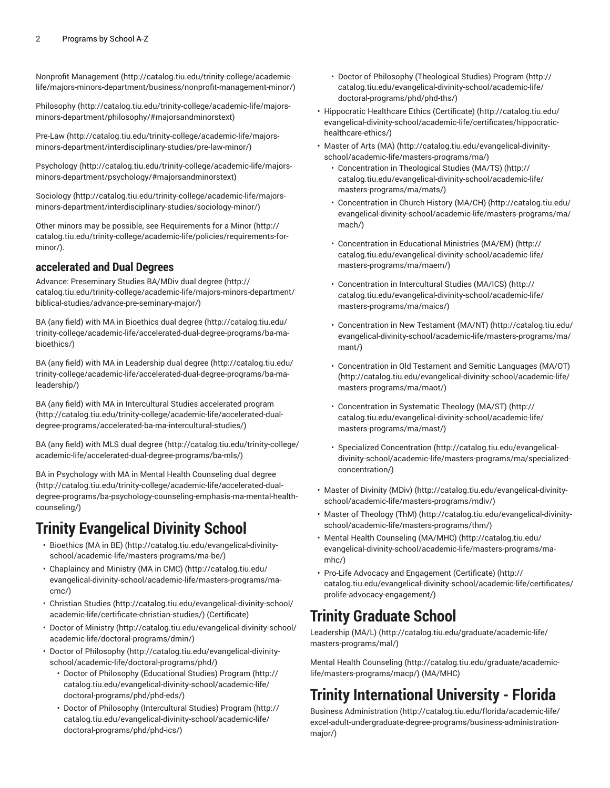Nonprofit [Management](http://catalog.tiu.edu/trinity-college/academic-life/majors-minors-department/business/nonprofit-management-minor/) [\(http://catalog.tiu.edu/trinity-college/academic](http://catalog.tiu.edu/trinity-college/academic-life/majors-minors-department/business/nonprofit-management-minor/)[life/majors-minors-department/business/nonprofit-management-minor/](http://catalog.tiu.edu/trinity-college/academic-life/majors-minors-department/business/nonprofit-management-minor/))

[Philosophy](http://catalog.tiu.edu/trinity-college/academic-life/majors-minors-department/philosophy/#majorsandminorstext) ([http://catalog.tiu.edu/trinity-college/academic-life/majors](http://catalog.tiu.edu/trinity-college/academic-life/majors-minors-department/philosophy/#majorsandminorstext)[minors-department/philosophy/#majorsandminorstext](http://catalog.tiu.edu/trinity-college/academic-life/majors-minors-department/philosophy/#majorsandminorstext))

[Pre-Law](http://catalog.tiu.edu/trinity-college/academic-life/majors-minors-department/interdisciplinary-studies/pre-law-minor/) ([http://catalog.tiu.edu/trinity-college/academic-life/majors](http://catalog.tiu.edu/trinity-college/academic-life/majors-minors-department/interdisciplinary-studies/pre-law-minor/)[minors-department/interdisciplinary-studies/pre-law-minor/](http://catalog.tiu.edu/trinity-college/academic-life/majors-minors-department/interdisciplinary-studies/pre-law-minor/))

[Psychology \(http://catalog.tiu.edu/trinity-college/academic-life/majors](http://catalog.tiu.edu/trinity-college/academic-life/majors-minors-department/psychology/#majorsandminorstext)[minors-department/psychology/#majorsandminorstext\)](http://catalog.tiu.edu/trinity-college/academic-life/majors-minors-department/psychology/#majorsandminorstext)

[Sociology](http://catalog.tiu.edu/trinity-college/academic-life/majors-minors-department/interdisciplinary-studies/sociology-minor/) [\(http://catalog.tiu.edu/trinity-college/academic-life/majors](http://catalog.tiu.edu/trinity-college/academic-life/majors-minors-department/interdisciplinary-studies/sociology-minor/)[minors-department/interdisciplinary-studies/sociology-minor/\)](http://catalog.tiu.edu/trinity-college/academic-life/majors-minors-department/interdisciplinary-studies/sociology-minor/)

Other minors may be possible, see [Requirements](http://catalog.tiu.edu/trinity-college/academic-life/policies/requirements-for-minor/) for a Minor [\(http://](http://catalog.tiu.edu/trinity-college/academic-life/policies/requirements-for-minor/) [catalog.tiu.edu/trinity-college/academic-life/policies/requirements-for](http://catalog.tiu.edu/trinity-college/academic-life/policies/requirements-for-minor/)[minor/](http://catalog.tiu.edu/trinity-college/academic-life/policies/requirements-for-minor/)).

### **accelerated and Dual Degrees**

Advance: [Preseminary](http://catalog.tiu.edu/trinity-college/academic-life/majors-minors-department/biblical-studies/advance-pre-seminary-major/) Studies BA/MDiv dual degree ([http://](http://catalog.tiu.edu/trinity-college/academic-life/majors-minors-department/biblical-studies/advance-pre-seminary-major/) [catalog.tiu.edu/trinity-college/academic-life/majors-minors-department/](http://catalog.tiu.edu/trinity-college/academic-life/majors-minors-department/biblical-studies/advance-pre-seminary-major/) [biblical-studies/advance-pre-seminary-major/](http://catalog.tiu.edu/trinity-college/academic-life/majors-minors-department/biblical-studies/advance-pre-seminary-major/))

BA (any field) with MA in [Bioethics](http://catalog.tiu.edu/trinity-college/academic-life/accelerated-dual-degree-programs/ba-ma-bioethics/) dual degree ([http://catalog.tiu.edu/](http://catalog.tiu.edu/trinity-college/academic-life/accelerated-dual-degree-programs/ba-ma-bioethics/) [trinity-college/academic-life/accelerated-dual-degree-programs/ba-ma](http://catalog.tiu.edu/trinity-college/academic-life/accelerated-dual-degree-programs/ba-ma-bioethics/)[bioethics/](http://catalog.tiu.edu/trinity-college/academic-life/accelerated-dual-degree-programs/ba-ma-bioethics/))

BA (any field) with MA in [Leadership](http://catalog.tiu.edu/trinity-college/academic-life/accelerated-dual-degree-programs/ba-ma-leadership/) dual degree [\(http://catalog.tiu.edu/](http://catalog.tiu.edu/trinity-college/academic-life/accelerated-dual-degree-programs/ba-ma-leadership/) [trinity-college/academic-life/accelerated-dual-degree-programs/ba-ma](http://catalog.tiu.edu/trinity-college/academic-life/accelerated-dual-degree-programs/ba-ma-leadership/)[leadership/\)](http://catalog.tiu.edu/trinity-college/academic-life/accelerated-dual-degree-programs/ba-ma-leadership/)

BA (any field) with MA in [Intercultural](http://catalog.tiu.edu/trinity-college/academic-life/accelerated-dual-degree-programs/accelerated-ba-ma-intercultural-studies/) Studies accelerated program ([http://catalog.tiu.edu/trinity-college/academic-life/accelerated-dual](http://catalog.tiu.edu/trinity-college/academic-life/accelerated-dual-degree-programs/accelerated-ba-ma-intercultural-studies/)[degree-programs/accelerated-ba-ma-intercultural-studies/\)](http://catalog.tiu.edu/trinity-college/academic-life/accelerated-dual-degree-programs/accelerated-ba-ma-intercultural-studies/)

BA (any field) with MLS dual [degree](http://catalog.tiu.edu/trinity-college/academic-life/accelerated-dual-degree-programs/ba-mls/) ([http://catalog.tiu.edu/trinity-college/](http://catalog.tiu.edu/trinity-college/academic-life/accelerated-dual-degree-programs/ba-mls/) [academic-life/accelerated-dual-degree-programs/ba-mls/](http://catalog.tiu.edu/trinity-college/academic-life/accelerated-dual-degree-programs/ba-mls/))

BA in [Psychology](http://catalog.tiu.edu/trinity-college/academic-life/accelerated-dual-degree-programs/ba-psychology-counseling-emphasis-ma-mental-health-counseling/) with MA in Mental Health Counseling dual degree ([http://catalog.tiu.edu/trinity-college/academic-life/accelerated-dual](http://catalog.tiu.edu/trinity-college/academic-life/accelerated-dual-degree-programs/ba-psychology-counseling-emphasis-ma-mental-health-counseling/)[degree-programs/ba-psychology-counseling-emphasis-ma-mental-health](http://catalog.tiu.edu/trinity-college/academic-life/accelerated-dual-degree-programs/ba-psychology-counseling-emphasis-ma-mental-health-counseling/)[counseling/\)](http://catalog.tiu.edu/trinity-college/academic-life/accelerated-dual-degree-programs/ba-psychology-counseling-emphasis-ma-mental-health-counseling/)

# **Trinity Evangelical Divinity School**

- [Bioethics](http://catalog.tiu.edu/evangelical-divinity-school/academic-life/masters-programs/ma-be/) (MA in BE) [\(http://catalog.tiu.edu/evangelical-divinity](http://catalog.tiu.edu/evangelical-divinity-school/academic-life/masters-programs/ma-be/)[school/academic-life/masters-programs/ma-be/](http://catalog.tiu.edu/evangelical-divinity-school/academic-life/masters-programs/ma-be/))
- [Chaplaincy](http://catalog.tiu.edu/evangelical-divinity-school/academic-life/masters-programs/ma-cmc/) and Ministry (MA in CMC) [\(http://catalog.tiu.edu/](http://catalog.tiu.edu/evangelical-divinity-school/academic-life/masters-programs/ma-cmc/) [evangelical-divinity-school/academic-life/masters-programs/ma](http://catalog.tiu.edu/evangelical-divinity-school/academic-life/masters-programs/ma-cmc/)[cmc/\)](http://catalog.tiu.edu/evangelical-divinity-school/academic-life/masters-programs/ma-cmc/)
- [Christian Studies](http://catalog.tiu.edu/evangelical-divinity-school/academic-life/certificate-christian-studies/) [\(http://catalog.tiu.edu/evangelical-divinity-school/](http://catalog.tiu.edu/evangelical-divinity-school/academic-life/certificate-christian-studies/) [academic-life/certificate-christian-studies/](http://catalog.tiu.edu/evangelical-divinity-school/academic-life/certificate-christian-studies/)) (Certificate)
- Doctor of [Ministry \(http://catalog.tiu.edu/evangelical-divinity-school/](http://catalog.tiu.edu/evangelical-divinity-school/academic-life/doctoral-programs/dmin/) [academic-life/doctoral-programs/dmin/\)](http://catalog.tiu.edu/evangelical-divinity-school/academic-life/doctoral-programs/dmin/)
- [Doctor of Philosophy](http://catalog.tiu.edu/evangelical-divinity-school/academic-life/doctoral-programs/phd/) [\(http://catalog.tiu.edu/evangelical-divinity](http://catalog.tiu.edu/evangelical-divinity-school/academic-life/doctoral-programs/phd/)[school/academic-life/doctoral-programs/phd/\)](http://catalog.tiu.edu/evangelical-divinity-school/academic-life/doctoral-programs/phd/)
	- Doctor of Philosophy [\(Educational](http://catalog.tiu.edu/evangelical-divinity-school/academic-life/doctoral-programs/phd/phd-eds/) Studies) Program [\(http://](http://catalog.tiu.edu/evangelical-divinity-school/academic-life/doctoral-programs/phd/phd-eds/) [catalog.tiu.edu/evangelical-divinity-school/academic-life/](http://catalog.tiu.edu/evangelical-divinity-school/academic-life/doctoral-programs/phd/phd-eds/) [doctoral-programs/phd/phd-eds/\)](http://catalog.tiu.edu/evangelical-divinity-school/academic-life/doctoral-programs/phd/phd-eds/)
	- Doctor of Philosophy [\(Intercultural](http://catalog.tiu.edu/evangelical-divinity-school/academic-life/doctoral-programs/phd/phd-ics/) Studies) Program [\(http://](http://catalog.tiu.edu/evangelical-divinity-school/academic-life/doctoral-programs/phd/phd-ics/) [catalog.tiu.edu/evangelical-divinity-school/academic-life/](http://catalog.tiu.edu/evangelical-divinity-school/academic-life/doctoral-programs/phd/phd-ics/) [doctoral-programs/phd/phd-ics/](http://catalog.tiu.edu/evangelical-divinity-school/academic-life/doctoral-programs/phd/phd-ics/))
- Doctor of Philosophy [\(Theological](http://catalog.tiu.edu/evangelical-divinity-school/academic-life/doctoral-programs/phd/phd-ths/) Studies) Program ([http://](http://catalog.tiu.edu/evangelical-divinity-school/academic-life/doctoral-programs/phd/phd-ths/) [catalog.tiu.edu/evangelical-divinity-school/academic-life/](http://catalog.tiu.edu/evangelical-divinity-school/academic-life/doctoral-programs/phd/phd-ths/) [doctoral-programs/phd/phd-ths/\)](http://catalog.tiu.edu/evangelical-divinity-school/academic-life/doctoral-programs/phd/phd-ths/)
- Hippocratic Healthcare Ethics [\(Certificate\)](http://catalog.tiu.edu/evangelical-divinity-school/academic-life/certificates/hippocratic-healthcare-ethics/) ([http://catalog.tiu.edu/](http://catalog.tiu.edu/evangelical-divinity-school/academic-life/certificates/hippocratic-healthcare-ethics/) [evangelical-divinity-school/academic-life/certificates/hippocratic](http://catalog.tiu.edu/evangelical-divinity-school/academic-life/certificates/hippocratic-healthcare-ethics/)[healthcare-ethics/\)](http://catalog.tiu.edu/evangelical-divinity-school/academic-life/certificates/hippocratic-healthcare-ethics/)
- [Master](http://catalog.tiu.edu/evangelical-divinity-school/academic-life/masters-programs/ma/) of Arts (MA) [\(http://catalog.tiu.edu/evangelical-divinity](http://catalog.tiu.edu/evangelical-divinity-school/academic-life/masters-programs/ma/)[school/academic-life/masters-programs/ma/](http://catalog.tiu.edu/evangelical-divinity-school/academic-life/masters-programs/ma/))
	- [Concentration](http://catalog.tiu.edu/evangelical-divinity-school/academic-life/masters-programs/ma/mats/) in Theological Studies (MA/TS) ([http://](http://catalog.tiu.edu/evangelical-divinity-school/academic-life/masters-programs/ma/mats/) [catalog.tiu.edu/evangelical-divinity-school/academic-life/](http://catalog.tiu.edu/evangelical-divinity-school/academic-life/masters-programs/ma/mats/) [masters-programs/ma/mats/](http://catalog.tiu.edu/evangelical-divinity-school/academic-life/masters-programs/ma/mats/))
	- [Concentration](http://catalog.tiu.edu/evangelical-divinity-school/academic-life/masters-programs/ma/mach/) in Church History (MA/CH) ([http://catalog.tiu.edu/](http://catalog.tiu.edu/evangelical-divinity-school/academic-life/masters-programs/ma/mach/) [evangelical-divinity-school/academic-life/masters-programs/ma/](http://catalog.tiu.edu/evangelical-divinity-school/academic-life/masters-programs/ma/mach/) [mach/\)](http://catalog.tiu.edu/evangelical-divinity-school/academic-life/masters-programs/ma/mach/)
	- [Concentration](http://catalog.tiu.edu/evangelical-divinity-school/academic-life/masters-programs/ma/maem/) in Educational Ministries (MA/EM) [\(http://](http://catalog.tiu.edu/evangelical-divinity-school/academic-life/masters-programs/ma/maem/) [catalog.tiu.edu/evangelical-divinity-school/academic-life/](http://catalog.tiu.edu/evangelical-divinity-school/academic-life/masters-programs/ma/maem/) [masters-programs/ma/maem/\)](http://catalog.tiu.edu/evangelical-divinity-school/academic-life/masters-programs/ma/maem/)
	- [Concentration](http://catalog.tiu.edu/evangelical-divinity-school/academic-life/masters-programs/ma/maics/) in Intercultural Studies (MA/ICS) ([http://](http://catalog.tiu.edu/evangelical-divinity-school/academic-life/masters-programs/ma/maics/) [catalog.tiu.edu/evangelical-divinity-school/academic-life/](http://catalog.tiu.edu/evangelical-divinity-school/academic-life/masters-programs/ma/maics/) [masters-programs/ma/maics/\)](http://catalog.tiu.edu/evangelical-divinity-school/academic-life/masters-programs/ma/maics/)
	- [Concentration](http://catalog.tiu.edu/evangelical-divinity-school/academic-life/masters-programs/ma/mant/) in New Testament (MA/NT) ([http://catalog.tiu.edu/](http://catalog.tiu.edu/evangelical-divinity-school/academic-life/masters-programs/ma/mant/) [evangelical-divinity-school/academic-life/masters-programs/ma/](http://catalog.tiu.edu/evangelical-divinity-school/academic-life/masters-programs/ma/mant/) [mant/](http://catalog.tiu.edu/evangelical-divinity-school/academic-life/masters-programs/ma/mant/))
	- [Concentration](http://catalog.tiu.edu/evangelical-divinity-school/academic-life/masters-programs/ma/maot/) in Old Testament and Semitic Languages (MA/OT) [\(http://catalog.tiu.edu/evangelical-divinity-school/academic-life/](http://catalog.tiu.edu/evangelical-divinity-school/academic-life/masters-programs/ma/maot/) [masters-programs/ma/maot/\)](http://catalog.tiu.edu/evangelical-divinity-school/academic-life/masters-programs/ma/maot/)
	- [Concentration](http://catalog.tiu.edu/evangelical-divinity-school/academic-life/masters-programs/ma/mast/) in Systematic Theology (MA/ST) ([http://](http://catalog.tiu.edu/evangelical-divinity-school/academic-life/masters-programs/ma/mast/) [catalog.tiu.edu/evangelical-divinity-school/academic-life/](http://catalog.tiu.edu/evangelical-divinity-school/academic-life/masters-programs/ma/mast/) [masters-programs/ma/mast/](http://catalog.tiu.edu/evangelical-divinity-school/academic-life/masters-programs/ma/mast/))
	- Specialized [Concentration](http://catalog.tiu.edu/evangelical-divinity-school/academic-life/masters-programs/ma/specialized-concentration/) [\(http://catalog.tiu.edu/evangelical](http://catalog.tiu.edu/evangelical-divinity-school/academic-life/masters-programs/ma/specialized-concentration/)[divinity-school/academic-life/masters-programs/ma/specialized](http://catalog.tiu.edu/evangelical-divinity-school/academic-life/masters-programs/ma/specialized-concentration/)[concentration/\)](http://catalog.tiu.edu/evangelical-divinity-school/academic-life/masters-programs/ma/specialized-concentration/)
- [Master of Divinity \(MDiv\)](http://catalog.tiu.edu/evangelical-divinity-school/academic-life/masters-programs/mdiv/) ([http://catalog.tiu.edu/evangelical-divinity](http://catalog.tiu.edu/evangelical-divinity-school/academic-life/masters-programs/mdiv/)[school/academic-life/masters-programs/mdiv/\)](http://catalog.tiu.edu/evangelical-divinity-school/academic-life/masters-programs/mdiv/)
- [Master of Theology \(ThM\) \(http://catalog.tiu.edu/evangelical-divinity](http://catalog.tiu.edu/evangelical-divinity-school/academic-life/masters-programs/thm/)[school/academic-life/masters-programs/thm/](http://catalog.tiu.edu/evangelical-divinity-school/academic-life/masters-programs/thm/))
- Mental Health [Counseling](http://catalog.tiu.edu/evangelical-divinity-school/academic-life/masters-programs/ma-mhc/) (MA/MHC) [\(http://catalog.tiu.edu/](http://catalog.tiu.edu/evangelical-divinity-school/academic-life/masters-programs/ma-mhc/) [evangelical-divinity-school/academic-life/masters-programs/ma](http://catalog.tiu.edu/evangelical-divinity-school/academic-life/masters-programs/ma-mhc/)[mhc/](http://catalog.tiu.edu/evangelical-divinity-school/academic-life/masters-programs/ma-mhc/))
- Pro-Life Advocacy and [Engagement](http://catalog.tiu.edu/evangelical-divinity-school/academic-life/certificates/prolife-advocacy-engagement/) (Certificate) ([http://](http://catalog.tiu.edu/evangelical-divinity-school/academic-life/certificates/prolife-advocacy-engagement/) [catalog.tiu.edu/evangelical-divinity-school/academic-life/certificates/](http://catalog.tiu.edu/evangelical-divinity-school/academic-life/certificates/prolife-advocacy-engagement/) [prolife-advocacy-engagement/](http://catalog.tiu.edu/evangelical-divinity-school/academic-life/certificates/prolife-advocacy-engagement/))

### **Trinity Graduate School**

[Leadership](http://catalog.tiu.edu/graduate/academic-life/masters-programs/mal/) (MA/L) ([http://catalog.tiu.edu/graduate/academic-life/](http://catalog.tiu.edu/graduate/academic-life/masters-programs/mal/) [masters-programs/mal/\)](http://catalog.tiu.edu/graduate/academic-life/masters-programs/mal/)

[Mental Health Counseling](http://catalog.tiu.edu/graduate/academic-life/masters-programs/macp/) ([http://catalog.tiu.edu/graduate/academic](http://catalog.tiu.edu/graduate/academic-life/masters-programs/macp/)[life/masters-programs/macp/\)](http://catalog.tiu.edu/graduate/academic-life/masters-programs/macp/) (MA/MHC)

# **Trinity International University - Florida**

[Business Administration \(http://catalog.tiu.edu/florida/academic-life/](http://catalog.tiu.edu/florida/academic-life/excel-adult-undergraduate-degree-programs/business-administration-major/) [excel-adult-undergraduate-degree-programs/business-administration](http://catalog.tiu.edu/florida/academic-life/excel-adult-undergraduate-degree-programs/business-administration-major/)[major/](http://catalog.tiu.edu/florida/academic-life/excel-adult-undergraduate-degree-programs/business-administration-major/))